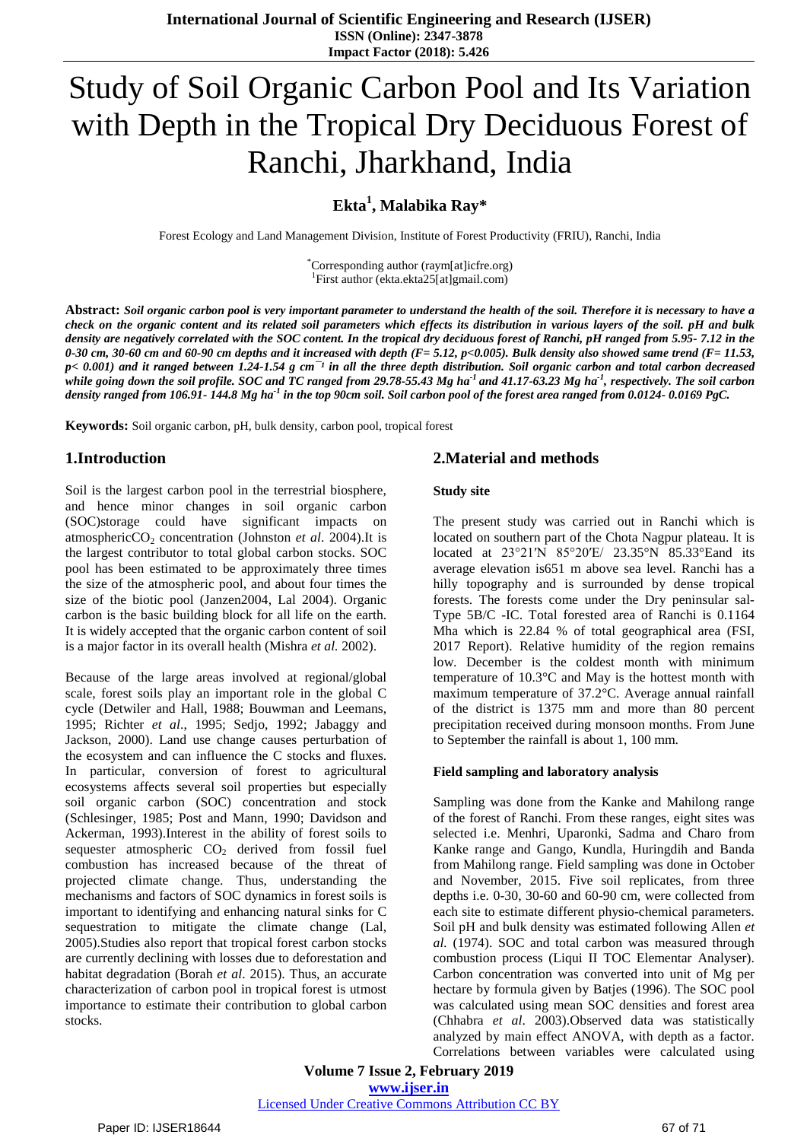# Study of Soil Organic Carbon Pool and Its Variation with Depth in the Tropical Dry Deciduous Forest of Ranchi, Jharkhand, India

# **Ekta<sup>1</sup> , Malabika Ray\***

Forest Ecology and Land Management Division, Institute of Forest Productivity (FRIU), Ranchi, India

\*Corresponding author (raym[at]icfre.org) 1 First author [\(ekta.ekta25\[at\]gmail.com\)](mailto:ekta.ekta25@gmail.com)

Abstract: Soil organic carbon pool is very important parameter to understand the health of the soil. Therefore it is necessary to have a check on the organic content and its related soil parameters which effects its distribution in various layers of the soil. pH and bulk density are negatively correlated with the SOC content. In the tropical dry deciduous forest of Ranchi, pH ranged from 5.95-7.12 in the 0-30 cm, 30-60 cm and 60-90 cm depths and it increased with depth  $(F = 5.12, p < 0.005)$ . Bulk density also showed same trend  $(F = 11.53, p$  $p$  < 0.001) and it ranged between 1.24-1.54 g cm<sup>-1</sup> in all the three depth distribution. Soil organic carbon and total carbon decreased while going down the soil profile. SOC and TC ranged from 29.78-55.43 Mg ha<sup>-1</sup> and 41.17-63.23 Mg ha<sup>-1</sup>, respectively. The soil carbon density ranged from 106.91- 144.8 Mg ha<sup>-1</sup> in the top 90cm soil. Soil carbon pool of the forest area ranged from 0.0124- 0.0169 PgC.

**Keywords:** Soil organic carbon, pH, bulk density, carbon pool, tropical forest

# **1.Introduction**

Soil is the largest carbon pool in the terrestrial biosphere, and hence minor changes in soil organic carbon (SOC)storage could have significant impacts on atmosphericCO<sub>2</sub> concentration (Johnston *et al.* 2004).It is the largest contributor to total global carbon stocks. SOC pool has been estimated to be approximately three times the size of the atmospheric pool, and about four times the size of the biotic pool (Janzen2004, Lal 2004). Organic carbon is the basic building block for all life on the earth. It is widely accepted that the organic carbon content of soil is a major factor in its overall health (Mishra *et al.* 2002).

Because of the large areas involved at regional/global scale, forest soils play an important role in the global C cycle (Detwiler and Hall, 1988; Bouwman and Leemans, 1995; Richter *et al*., 1995; Sedjo, 1992; Jabaggy and Jackson, 2000). Land use change causes perturbation of the ecosystem and can influence the C stocks and fluxes. In particular, conversion of forest to agricultural ecosystems affects several soil properties but especially soil organic carbon (SOC) concentration and stock (Schlesinger, 1985; Post and Mann, 1990; Davidson and Ackerman, 1993).Interest in the ability of forest soils to sequester atmospheric  $CO<sub>2</sub>$  derived from fossil fuel combustion has increased because of the threat of projected climate change. Thus, understanding the mechanisms and factors of SOC dynamics in forest soils is important to identifying and enhancing natural sinks for C sequestration to mitigate the climate change (Lal, 2005).Studies also report that tropical forest carbon stocks are currently declining with losses due to deforestation and habitat degradation (Borah *et al*. 2015). Thus, an accurate characterization of carbon pool in tropical forest is utmost importance to estimate their contribution to global carbon stocks.

## **2.Material and methods**

### **Study site**

The present study was carried out in Ranchi which is located on southern part of the Chota Nagpur plateau. It is located at 23°21′N 85°20′E/ 23.35°N 85.33°Eand its average elevation is651 m above sea level. Ranchi has a hilly topography and is surrounded by dense tropical forests. The forests come under the Dry peninsular sal-Type 5B/C -IC. Total forested area of Ranchi is 0.1164 Mha which is 22.84 % of total geographical area (FSI, 2017 Report). Relative humidity of the region remains low. December is the coldest month with minimum temperature of 10.3°C and May is the hottest month with maximum temperature of 37.2°C. Average annual rainfall of the district is 1375 mm and more than 80 percent precipitation received during monsoon months. From June to September the rainfall is about 1, 100 mm.

### **Field sampling and laboratory analysis**

Sampling was done from the Kanke and Mahilong range of the forest of Ranchi. From these ranges, eight sites was selected i.e. Menhri, Uparonki, Sadma and Charo from Kanke range and Gango, Kundla, Huringdih and Banda from Mahilong range. Field sampling was done in October and November, 2015. Five soil replicates, from three depths i.e. 0-30, 30-60 and 60-90 cm, were collected from each site to estimate different physio-chemical parameters. Soil pH and bulk density was estimated following Allen *et al.* (1974). SOC and total carbon was measured through combustion process (Liqui II TOC Elementar Analyser). Carbon concentration was converted into unit of Mg per hectare by formula given by Batjes (1996). The SOC pool was calculated using mean SOC densities and forest area (Chhabra *et al*. 2003).Observed data was statistically analyzed by main effect ANOVA, with depth as a factor. Correlations between variables were calculated using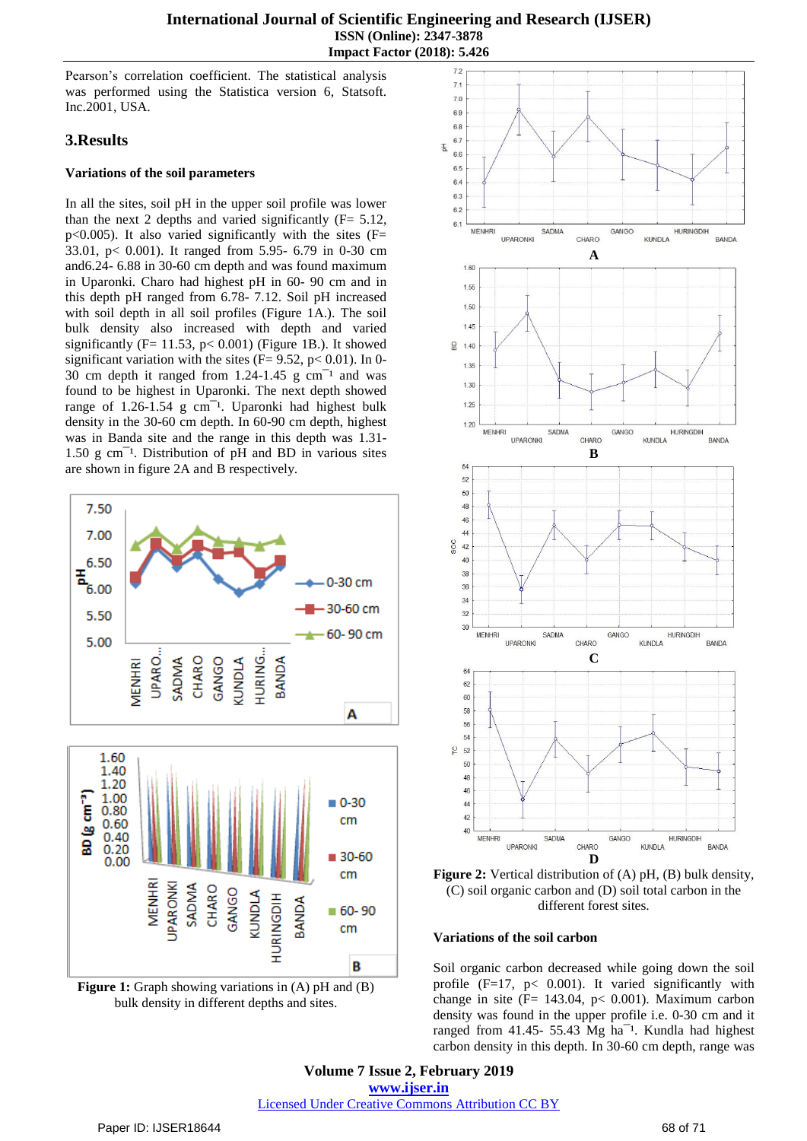Pearson's correlation coefficient. The statistical analysis was performed using the Statistica version 6, Statsoft. Inc.2001, USA.

# **3.Results**

## **Variations of the soil parameters**

In all the sites, soil pH in the upper soil profile was lower than the next 2 depths and varied significantly  $(F= 5.12,$ p<0.005). It also varied significantly with the sites  $(F=$ 33.01, p< 0.001). It ranged from 5.95- 6.79 in 0-30 cm and6.24- 6.88 in 30-60 cm depth and was found maximum in Uparonki. Charo had highest pH in 60- 90 cm and in this depth pH ranged from 6.78- 7.12. Soil pH increased with soil depth in all soil profiles (Figure 1A.). The soil bulk density also increased with depth and varied significantly (F= 11.53, p< 0.001) (Figure 1B.). It showed significant variation with the sites ( $F= 9.52$ ,  $p< 0.01$ ). In 0-30 cm depth it ranged from  $1.24$ -1.45 g cm<sup>-1</sup> and was found to be highest in Uparonki. The next depth showed range of  $1.26-1.54$  g cm<sup>-1</sup>. Uparonki had highest bulk density in the 30-60 cm depth. In 60-90 cm depth, highest was in Banda site and the range in this depth was 1.31-  $1.50 \text{ g cm}^{-1}$ . Distribution of pH and BD in various sites are shown in figure 2A and B respectively.









**Figure 2:** Vertical distribution of (A) pH, (B) bulk density, (C) soil organic carbon and (D) soil total carbon in the different forest sites.

## **Variations of the soil carbon**

Soil organic carbon decreased while going down the soil profile  $(F=17, p < 0.001)$ . It varied significantly with change in site ( $F = 143.04$ ,  $p < 0.001$ ). Maximum carbon density was found in the upper profile i.e. 0-30 cm and it ranged from 41.45- 55.43 Mg ha<sup> $-1$ </sup>. Kundla had highest carbon density in this depth. In 30-60 cm depth, range was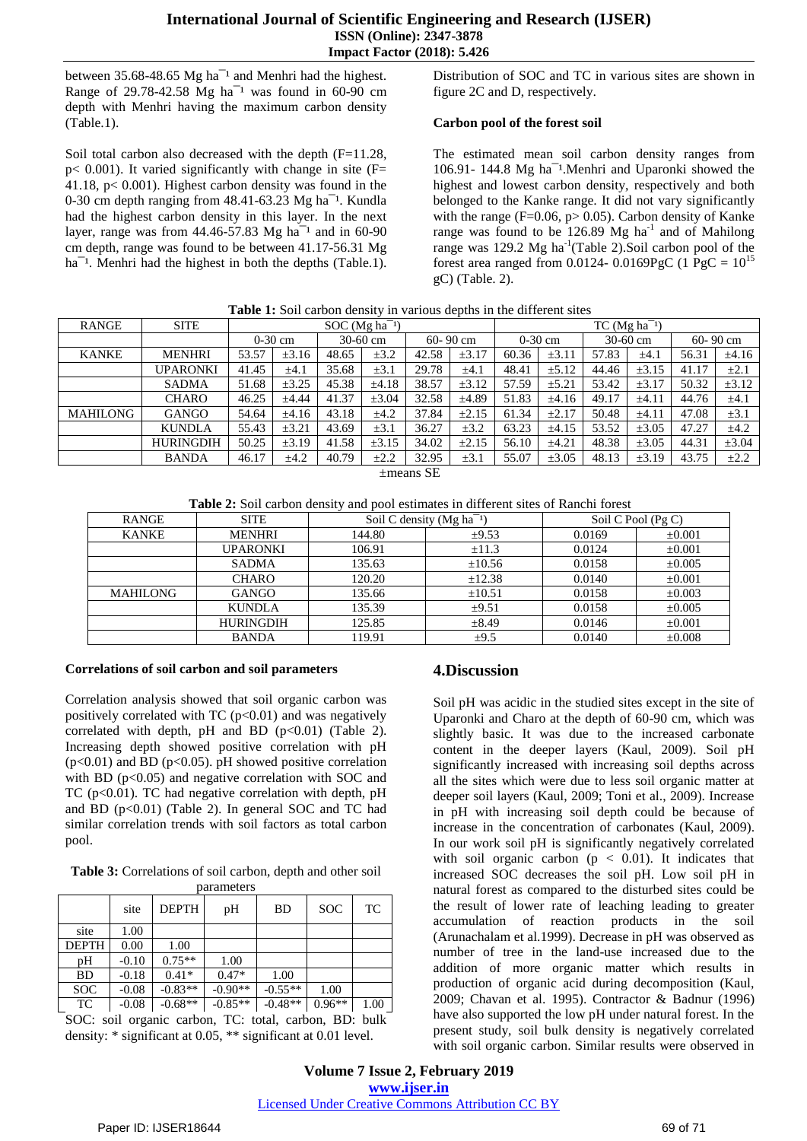between  $35.68-48.65$  Mg ha<sup>-1</sup> and Menhri had the highest. Range of 29.78-42.58 Mg ha<sup>-1</sup> was found in 60-90 cm depth with Menhri having the maximum carbon density (Table.1).

Soil total carbon also decreased with the depth (F=11.28, p< 0.001). It varied significantly with change in site (F= 41.18, p< 0.001). Highest carbon density was found in the 0-30 cm depth ranging from  $48.41-63.23$  Mg ha<sup> $-1$ </sup>. Kundla had the highest carbon density in this layer. In the next layer, range was from  $44.46 - 57.83$  Mg ha<sup>-1</sup> and in 60-90 cm depth, range was found to be between 41.17-56.31 Mg ha<sup>-1</sup>. Menhri had the highest in both the depths (Table.1).

Distribution of SOC and TC in various sites are shown in figure 2C and D, respectively.

### **Carbon pool of the forest soil**

The estimated mean soil carbon density ranges from 106.91- 144.8 Mg ha<sup>-1</sup>.Menhri and Uparonki showed the highest and lowest carbon density, respectively and both belonged to the Kanke range. It did not vary significantly with the range ( $F=0.06$ ,  $p>0.05$ ). Carbon density of Kanke range was found to be  $126.89$  Mg ha<sup>-1</sup> and of Mahilong range was 129.2 Mg ha<sup>-1</sup>(Table 2).Soil carbon pool of the forest area ranged from 0.0124- 0.0169PgC (1 PgC =  $10^{15}$ gC) (Table. 2).

| <b>RANGE</b>   | <b>SITE</b>      | $SOC(Mg ha^{-1})$ |            |       |            | $TC$ (Mg ha <sup>-1</sup> ) |              |       |            |            |            |              |            |
|----------------|------------------|-------------------|------------|-------|------------|-----------------------------|--------------|-------|------------|------------|------------|--------------|------------|
|                |                  |                   | $0-30$ cm  |       | $30-60$ cm |                             | $60 - 90$ cm |       | $0-30$ cm  | $30-60$ cm |            | $60 - 90$ cm |            |
| <b>KANKE</b>   | <b>MENHRI</b>    | 53.57             | $\pm 3.16$ | 48.65 | $\pm 3.2$  | 42.58                       | $\pm 3.17$   | 60.36 | $\pm 3.11$ | 57.83      | $\pm 4.1$  | 56.31        | $\pm 4.16$ |
|                | <b>UPARONKI</b>  | 41.45             | $\pm 4.1$  | 35.68 | $\pm 3.1$  | 29.78                       | $\pm 4.1$    | 48.41 | $\pm 5.12$ | 44.46      | $\pm 3.15$ | 41.17        | $\pm 2.1$  |
|                | <b>SADMA</b>     | 51.68             | ±3.25      | 45.38 | $\pm 4.18$ | 38.57                       | $\pm 3.12$   | 57.59 | $\pm 5.21$ | 53.42      | $\pm 3.17$ | 50.32        | $\pm 3.12$ |
|                | <b>CHARO</b>     | 46.25             | ±4.44      | 41.37 | $\pm 3.04$ | 32.58                       | $\pm 4.89$   | 51.83 | $\pm 4.16$ | 49.17      | $\pm 4.11$ | 44.76        | $\pm 4.1$  |
| MAHILONG       | <b>GANGO</b>     | 54.64             | $\pm 4.16$ | 43.18 | ±4.2       | 37.84                       | $\pm 2.15$   | 61.34 | $\pm 2.17$ | 50.48      | $\pm 4.11$ | 47.08        | $\pm 3.1$  |
|                | <b>KUNDLA</b>    | 55.43             | $\pm 3.21$ | 43.69 | $\pm 3.1$  | 36.27                       | $\pm 3.2$    | 63.23 | $\pm 4.15$ | 53.52      | $\pm 3.05$ | 47.27        | $\pm 4.2$  |
|                | <b>HURINGDIH</b> | 50.25             | $\pm 3.19$ | 41.58 | $\pm 3.15$ | 34.02                       | $\pm 2.15$   | 56.10 | ±4.21      | 48.38      | $\pm 3.05$ | 44.31        | $\pm 3.04$ |
|                | <b>BANDA</b>     | 46.17             | ±4.2       | 40.79 | $\pm 2.2$  | 32.95                       | $\pm 3.1$    | 55.07 | $\pm 3.05$ | 48.13      | $\pm 3.19$ | 43.75        | $\pm 2.2$  |
| $\pm$ means SE |                  |                   |            |       |            |                             |              |       |            |            |            |              |            |

**Table 1:** Soil carbon density in various depths in the different sites

**Table 2:** Soil carbon density and pool estimates in different sites of Ranchi forest

| RANGE           | <b>SITE</b>      |        | Soil C density ( $Mg$ ha <sup>-1</sup> ) | Soil C Pool $(Pg C)$ |             |  |
|-----------------|------------------|--------|------------------------------------------|----------------------|-------------|--|
| <b>KANKE</b>    | <b>MENHRI</b>    | 144.80 | $\pm 9.53$                               | 0.0169               | $\pm 0.001$ |  |
|                 | <b>UPARONKI</b>  | 106.91 | $\pm 11.3$                               | 0.0124               | $\pm 0.001$ |  |
|                 | <b>SADMA</b>     | 135.63 | $\pm 10.56$                              | 0.0158               | $\pm 0.005$ |  |
|                 | <b>CHARO</b>     | 120.20 | $\pm 12.38$                              | 0.0140               | $\pm 0.001$ |  |
| <b>MAHILONG</b> | <b>GANGO</b>     | 135.66 | ±10.51                                   | 0.0158               | $\pm 0.003$ |  |
|                 | <b>KUNDLA</b>    | 135.39 | $\pm 9.51$                               | 0.0158               | $\pm 0.005$ |  |
|                 | <b>HURINGDIH</b> | 125.85 | $\pm 8.49$                               | 0.0146               | $\pm 0.001$ |  |
|                 | <b>BANDA</b>     | 119.91 | $\pm 9.5$                                | 0.0140               | $\pm 0.008$ |  |

### **Correlations of soil carbon and soil parameters**

Correlation analysis showed that soil organic carbon was positively correlated with TC  $(p<0.01)$  and was negatively correlated with depth, pH and BD  $(p<0.01)$  (Table 2). Increasing depth showed positive correlation with pH  $(p<0.01)$  and BD ( $p<0.05$ ). pH showed positive correlation with BD  $(p<0.05)$  and negative correlation with SOC and TC ( $p<0.01$ ). TC had negative correlation with depth,  $pH$ and BD  $(p<0.01)$  (Table 2). In general SOC and TC had similar correlation trends with soil factors as total carbon pool.

**Table 3:** Correlations of soil carbon, depth and other soil parameters

|              | site    | <b>DEPTH</b> | pH        | BD        | <b>SOC</b> | TC   |
|--------------|---------|--------------|-----------|-----------|------------|------|
| site         | 1.00    |              |           |           |            |      |
| <b>DEPTH</b> | 0.00    | 1.00         |           |           |            |      |
| pH           | $-0.10$ | $0.75**$     | 1.00      |           |            |      |
| <b>BD</b>    | $-0.18$ | $0.41*$      | $0.47*$   | 1.00      |            |      |
| <b>SOC</b>   | $-0.08$ | $-0.83**$    | $-0.90**$ | $-0.55**$ | 1.00       |      |
| TC           | $-0.08$ | $-0.68**$    | $-0.85**$ | $-0.48**$ | $0.96**$   | 1.00 |

SOC: soil organic carbon, TC: total, carbon, BD: bulk density: \* significant at 0.05, \*\* significant at 0.01 level.

# **4.Discussion**

Soil pH was acidic in the studied sites except in the site of Uparonki and Charo at the depth of 60-90 cm, which was slightly basic. It was due to the increased carbonate content in the deeper layers (Kaul, 2009). Soil pH significantly increased with increasing soil depths across all the sites which were due to less soil organic matter at deeper soil layers (Kaul, 2009; Toni et al., 2009). Increase in pH with increasing soil depth could be because of increase in the concentration of carbonates (Kaul, 2009). In our work soil pH is significantly negatively correlated with soil organic carbon ( $p < 0.01$ ). It indicates that increased SOC decreases the soil pH. Low soil pH in natural forest as compared to the disturbed sites could be the result of lower rate of leaching leading to greater accumulation of reaction products in the soil (Arunachalam et al.1999). Decrease in pH was observed as number of tree in the land-use increased due to the addition of more organic matter which results in production of organic acid during decomposition (Kaul, 2009; Chavan et al. 1995). Contractor & Badnur (1996) have also supported the low pH under natural forest. In the present study, soil bulk density is negatively correlated with soil organic carbon. Similar results were observed in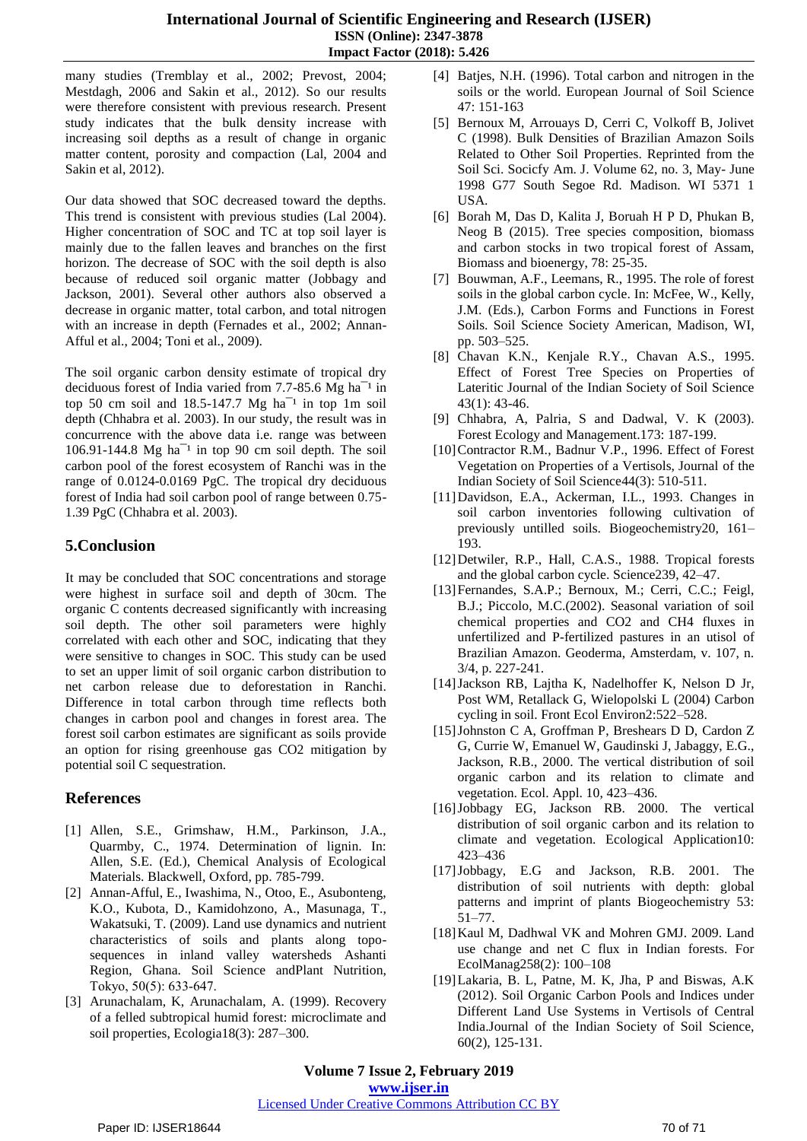many studies (Tremblay et al., 2002; Prevost, 2004; Mestdagh, 2006 and Sakin et al., 2012). So our results were therefore consistent with previous research. Present study indicates that the bulk density increase with increasing soil depths as a result of change in organic matter content, porosity and compaction (Lal, 2004 and Sakin et al, 2012).

Our data showed that SOC decreased toward the depths. This trend is consistent with previous studies (Lal 2004). Higher concentration of SOC and TC at top soil layer is mainly due to the fallen leaves and branches on the first horizon. The decrease of SOC with the soil depth is also because of reduced soil organic matter (Jobbagy and Jackson, 2001). Several other authors also observed a decrease in organic matter, total carbon, and total nitrogen with an increase in depth (Fernades et al., 2002; Annan-Afful et al., 2004; Toni et al., 2009).

The soil organic carbon density estimate of tropical dry deciduous forest of India varied from  $7.7-85.6$  Mg ha<sup> $-1$ </sup> in top 50 cm soil and  $18.5-147.7$  Mg ha<sup>-1</sup> in top 1m soil depth (Chhabra et al. 2003). In our study, the result was in concurrence with the above data i.e. range was between  $106.91-144.8$  Mg ha<sup> $-1$ </sup> in top 90 cm soil depth. The soil carbon pool of the forest ecosystem of Ranchi was in the range of 0.0124-0.0169 PgC. The tropical dry deciduous forest of India had soil carbon pool of range between 0.75- 1.39 PgC (Chhabra et al. 2003).

# **5.Conclusion**

It may be concluded that SOC concentrations and storage were highest in surface soil and depth of 30cm. The organic C contents decreased significantly with increasing soil depth. The other soil parameters were highly correlated with each other and SOC, indicating that they were sensitive to changes in SOC. This study can be used to set an upper limit of soil organic carbon distribution to net carbon release due to deforestation in Ranchi. Difference in total carbon through time reflects both changes in carbon pool and changes in forest area. The forest soil carbon estimates are significant as soils provide an option for rising greenhouse gas CO2 mitigation by potential soil C sequestration.

# **References**

- [1] Allen, S.E., Grimshaw, H.M., Parkinson, J.A., Quarmby, C., 1974. Determination of lignin. In: Allen, S.E. (Ed.), Chemical Analysis of Ecological Materials. Blackwell, Oxford, pp. 785-799.
- [2] Annan-Afful, E., Iwashima, N., Otoo, E., Asubonteng, K.O., Kubota, D., Kamidohzono, A., Masunaga, T., Wakatsuki, T. (2009). Land use dynamics and nutrient characteristics of soils and plants along toposequences in inland valley watersheds Ashanti Region, Ghana. Soil Science andPlant Nutrition, Tokyo, 50(5): 633‑647.
- [3] Arunachalam, K, Arunachalam, A. (1999). Recovery of a felled subtropical humid forest: microclimate and soil properties, Ecologia18(3): 287–300.
- [4] Batjes, N.H. (1996). Total carbon and nitrogen in the soils or the world. European Journal of Soil Science 47: 151-163
- [5] Bernoux M, Arrouays D, Cerri C, Volkoff B, Jolivet C (1998). Bulk Densities of Brazilian Amazon Soils Related to Other Soil Properties. Reprinted from the Soil Sci. Socicfy Am. J. Volume 62, no. 3, May- June 1998 G77 South Segoe Rd. Madison. WI 5371 1 USA.
- [6] Borah M, Das D, Kalita J, Boruah H P D, Phukan B, Neog B (2015). Tree species composition, biomass and carbon stocks in two tropical forest of Assam, Biomass and bioenergy, 78: 25-35.
- [7] Bouwman, A.F., Leemans, R., 1995. The role of forest soils in the global carbon cycle. In: McFee, W., Kelly, J.M. (Eds.), Carbon Forms and Functions in Forest Soils. Soil Science Society American, Madison, WI, pp. 503–525.
- [8] Chavan K.N., Kenjale R.Y., Chavan A.S., 1995. Effect of Forest Tree Species on Properties of Lateritic Journal of the Indian Society of Soil Science 43(1): 43-46.
- [9] Chhabra, A, Palria, S and Dadwal, V. K (2003). Forest Ecology and Management.173: 187-199.
- [10]Contractor R.M., Badnur V.P., 1996. Effect of Forest Vegetation on Properties of a Vertisols, Journal of the Indian Society of Soil Science44(3): 510-511.
- [11]Davidson, E.A., Ackerman, I.L., 1993. Changes in soil carbon inventories following cultivation of previously untilled soils. Biogeochemistry20, 161– 193.
- [12]Detwiler, R.P., Hall, C.A.S., 1988. Tropical forests and the global carbon cycle. Science239, 42–47.
- [13]Fernandes, S.A.P.; Bernoux, M.; Cerri, C.C.; Feigl, B.J.; Piccolo, M.C.(2002). Seasonal variation of soil chemical properties and CO2 and CH4 fluxes in unfertilized and P-fertilized pastures in an utisol of Brazilian Amazon. Geoderma, Amsterdam, v. 107, n. 3/4, p. 227-241.
- [14]Jackson RB, Lajtha K, Nadelhoffer K, Nelson D Jr, Post WM, Retallack G, Wielopolski L (2004) Carbon cycling in soil. Front Ecol Environ2:522–528.
- [15]Johnston C A, Groffman P, Breshears D D, Cardon Z G, Currie W, Emanuel W, Gaudinski J, Jabaggy, E.G., Jackson, R.B., 2000. The vertical distribution of soil organic carbon and its relation to climate and vegetation. Ecol. Appl. 10, 423–436.
- [16]Jobbagy EG, Jackson RB. 2000. The vertical distribution of soil organic carbon and its relation to climate and vegetation. Ecological Application10: 423–436
- [17]Jobbagy, E.G and Jackson, R.B. 2001. The distribution of soil nutrients with depth: global patterns and imprint of plants Biogeochemistry 53: 51–77.
- [18] Kaul M, Dadhwal VK and Mohren GMJ. 2009. Land use change and net C flux in Indian forests. For EcolManag258(2): 100–108
- [19]Lakaria, B. L, Patne, M. K, Jha, P and Biswas, A.K (2012). Soil Organic Carbon Pools and Indices under Different Land Use Systems in Vertisols of Central India.Journal of the Indian Society of Soil Science, 60(2), 125-131.